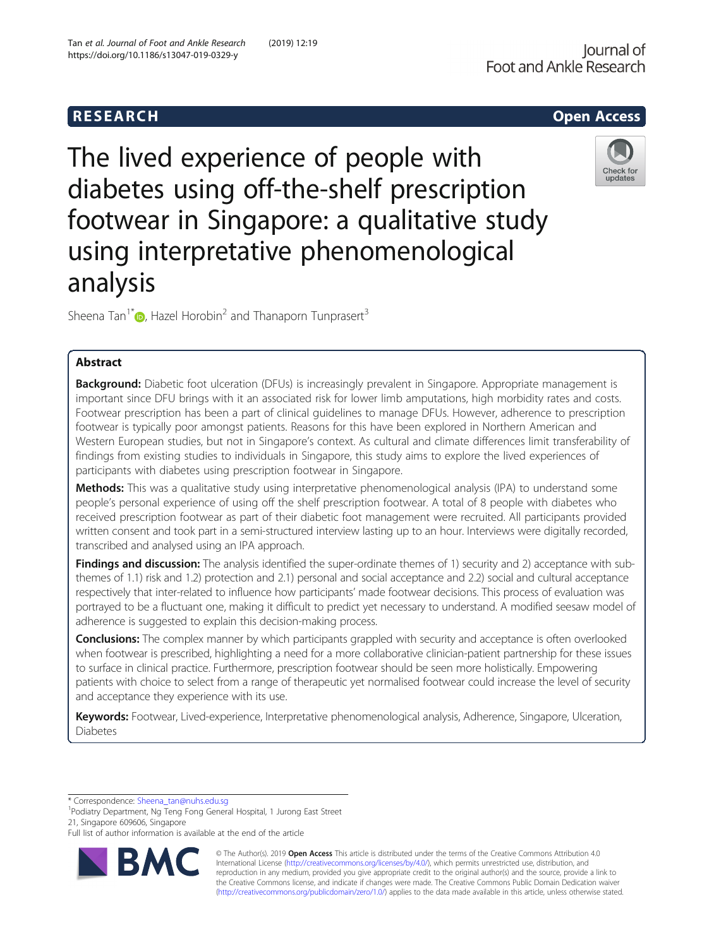**RESEARCH CHEAR CHEAR CHEAR CHEAR CHEAR CHEAR CHEAR CHEAR CHEAR CHEAR CHEAR CHEAR CHEAR CHEAR CHEAR CHEAR CHEAR** The lived experience of people with diabetes using off-the-shelf prescription footwear in Singapore: a qualitative study

using interpretative phenomenological

Sheena Tan<sup>1[\\*](http://orcid.org/0000-0002-2703-2470)</sup>  $\bullet$ , Hazel Horobin<sup>2</sup> and Thanaporn Tunprasert<sup>3</sup>

# Abstract

analysis

**Background:** Diabetic foot ulceration (DFUs) is increasingly prevalent in Singapore. Appropriate management is important since DFU brings with it an associated risk for lower limb amputations, high morbidity rates and costs. Footwear prescription has been a part of clinical guidelines to manage DFUs. However, adherence to prescription footwear is typically poor amongst patients. Reasons for this have been explored in Northern American and Western European studies, but not in Singapore's context. As cultural and climate differences limit transferability of findings from existing studies to individuals in Singapore, this study aims to explore the lived experiences of participants with diabetes using prescription footwear in Singapore.

Methods: This was a qualitative study using interpretative phenomenological analysis (IPA) to understand some people's personal experience of using off the shelf prescription footwear. A total of 8 people with diabetes who received prescription footwear as part of their diabetic foot management were recruited. All participants provided written consent and took part in a semi-structured interview lasting up to an hour. Interviews were digitally recorded, transcribed and analysed using an IPA approach.

Findings and discussion: The analysis identified the super-ordinate themes of 1) security and 2) acceptance with subthemes of 1.1) risk and 1.2) protection and 2.1) personal and social acceptance and 2.2) social and cultural acceptance respectively that inter-related to influence how participants' made footwear decisions. This process of evaluation was portrayed to be a fluctuant one, making it difficult to predict yet necessary to understand. A modified seesaw model of adherence is suggested to explain this decision-making process.

Conclusions: The complex manner by which participants grappled with security and acceptance is often overlooked when footwear is prescribed, highlighting a need for a more collaborative clinician-patient partnership for these issues to surface in clinical practice. Furthermore, prescription footwear should be seen more holistically. Empowering patients with choice to select from a range of therapeutic yet normalised footwear could increase the level of security and acceptance they experience with its use.

Keywords: Footwear, Lived-experience, Interpretative phenomenological analysis, Adherence, Singapore, Ulceration, Diabetes

\* Correspondence: [Sheena\\_tan@nuhs.edu.sg](mailto:Sheena_tan@nuhs.edu.sg) <sup>1</sup>

<sup>1</sup>Podiatry Department, Ng Teng Fong General Hospital, 1 Jurong East Street 21, Singapore 609606, Singapore







© The Author(s). 2019 **Open Access** This article is distributed under the terms of the Creative Commons Attribution 4.0 International License [\(http://creativecommons.org/licenses/by/4.0/](http://creativecommons.org/licenses/by/4.0/)), which permits unrestricted use, distribution, and reproduction in any medium, provided you give appropriate credit to the original author(s) and the source, provide a link to the Creative Commons license, and indicate if changes were made. The Creative Commons Public Domain Dedication waiver [\(http://creativecommons.org/publicdomain/zero/1.0/](http://creativecommons.org/publicdomain/zero/1.0/)) applies to the data made available in this article, unless otherwise stated.

Full list of author information is available at the end of the article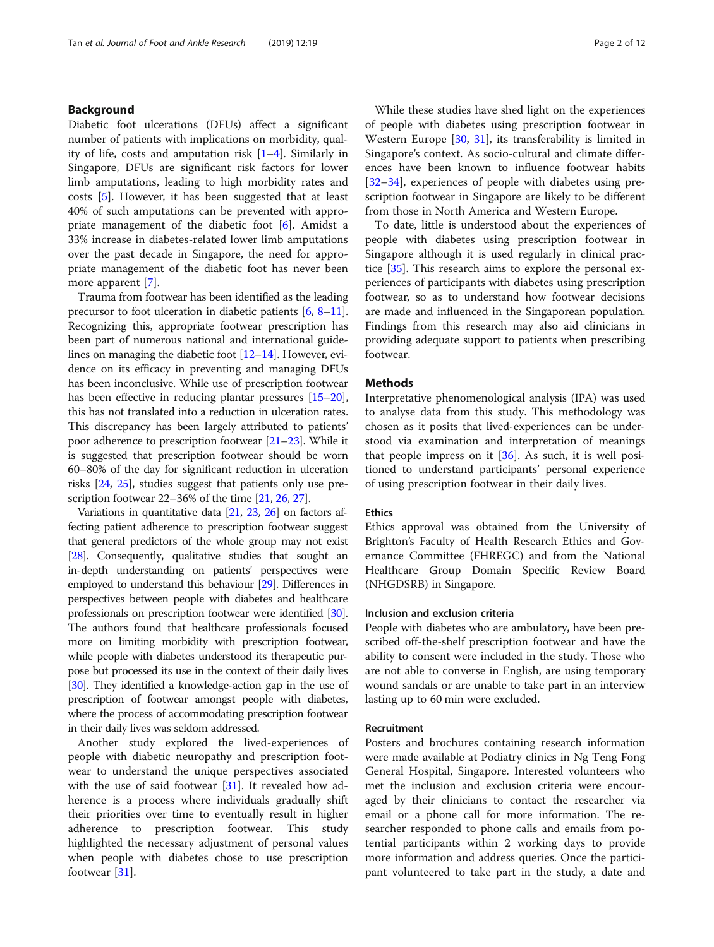# Background

Diabetic foot ulcerations (DFUs) affect a significant number of patients with implications on morbidity, quality of life, costs and amputation risk  $[1-4]$  $[1-4]$  $[1-4]$  $[1-4]$  $[1-4]$ . Similarly in Singapore, DFUs are significant risk factors for lower limb amputations, leading to high morbidity rates and costs [[5\]](#page-10-0). However, it has been suggested that at least 40% of such amputations can be prevented with appropriate management of the diabetic foot [[6\]](#page-10-0). Amidst a 33% increase in diabetes-related lower limb amputations over the past decade in Singapore, the need for appropriate management of the diabetic foot has never been more apparent [\[7\]](#page-10-0).

Trauma from footwear has been identified as the leading precursor to foot ulceration in diabetic patients [\[6,](#page-10-0) [8](#page-10-0)–[11](#page-10-0)]. Recognizing this, appropriate footwear prescription has been part of numerous national and international guidelines on managing the diabetic foot  $[12-14]$  $[12-14]$  $[12-14]$  $[12-14]$ . However, evidence on its efficacy in preventing and managing DFUs has been inconclusive. While use of prescription footwear has been effective in reducing plantar pressures [\[15](#page-10-0)–[20](#page-10-0)], this has not translated into a reduction in ulceration rates. This discrepancy has been largely attributed to patients' poor adherence to prescription footwear [[21](#page-10-0)–[23\]](#page-10-0). While it is suggested that prescription footwear should be worn 60–80% of the day for significant reduction in ulceration risks [\[24,](#page-10-0) [25](#page-10-0)], studies suggest that patients only use prescription footwear 22–36% of the time [[21](#page-10-0), [26,](#page-10-0) [27](#page-10-0)].

Variations in quantitative data [\[21](#page-10-0), [23](#page-10-0), [26](#page-10-0)] on factors affecting patient adherence to prescription footwear suggest that general predictors of the whole group may not exist [[28](#page-10-0)]. Consequently, qualitative studies that sought an in-depth understanding on patients' perspectives were employed to understand this behaviour [\[29\]](#page-10-0). Differences in perspectives between people with diabetes and healthcare professionals on prescription footwear were identified [\[30](#page-10-0)]. The authors found that healthcare professionals focused more on limiting morbidity with prescription footwear, while people with diabetes understood its therapeutic purpose but processed its use in the context of their daily lives [[30](#page-10-0)]. They identified a knowledge-action gap in the use of prescription of footwear amongst people with diabetes, where the process of accommodating prescription footwear in their daily lives was seldom addressed.

Another study explored the lived-experiences of people with diabetic neuropathy and prescription footwear to understand the unique perspectives associated with the use of said footwear  $[31]$  $[31]$ . It revealed how adherence is a process where individuals gradually shift their priorities over time to eventually result in higher adherence to prescription footwear. This study highlighted the necessary adjustment of personal values when people with diabetes chose to use prescription footwear [\[31](#page-10-0)].

While these studies have shed light on the experiences of people with diabetes using prescription footwear in Western Europe [[30](#page-10-0), [31](#page-10-0)], its transferability is limited in Singapore's context. As socio-cultural and climate differences have been known to influence footwear habits [[32](#page-10-0)–[34](#page-10-0)], experiences of people with diabetes using prescription footwear in Singapore are likely to be different from those in North America and Western Europe.

To date, little is understood about the experiences of people with diabetes using prescription footwear in Singapore although it is used regularly in clinical practice [[35\]](#page-10-0). This research aims to explore the personal experiences of participants with diabetes using prescription footwear, so as to understand how footwear decisions are made and influenced in the Singaporean population. Findings from this research may also aid clinicians in providing adequate support to patients when prescribing footwear.

## Methods

Interpretative phenomenological analysis (IPA) was used to analyse data from this study. This methodology was chosen as it posits that lived-experiences can be understood via examination and interpretation of meanings that people impress on it  $[36]$  $[36]$ . As such, it is well positioned to understand participants' personal experience of using prescription footwear in their daily lives.

# **Ethics**

Ethics approval was obtained from the University of Brighton's Faculty of Health Research Ethics and Governance Committee (FHREGC) and from the National Healthcare Group Domain Specific Review Board (NHGDSRB) in Singapore.

# Inclusion and exclusion criteria

People with diabetes who are ambulatory, have been prescribed off-the-shelf prescription footwear and have the ability to consent were included in the study. Those who are not able to converse in English, are using temporary wound sandals or are unable to take part in an interview lasting up to 60 min were excluded.

#### Recruitment

Posters and brochures containing research information were made available at Podiatry clinics in Ng Teng Fong General Hospital, Singapore. Interested volunteers who met the inclusion and exclusion criteria were encouraged by their clinicians to contact the researcher via email or a phone call for more information. The researcher responded to phone calls and emails from potential participants within 2 working days to provide more information and address queries. Once the participant volunteered to take part in the study, a date and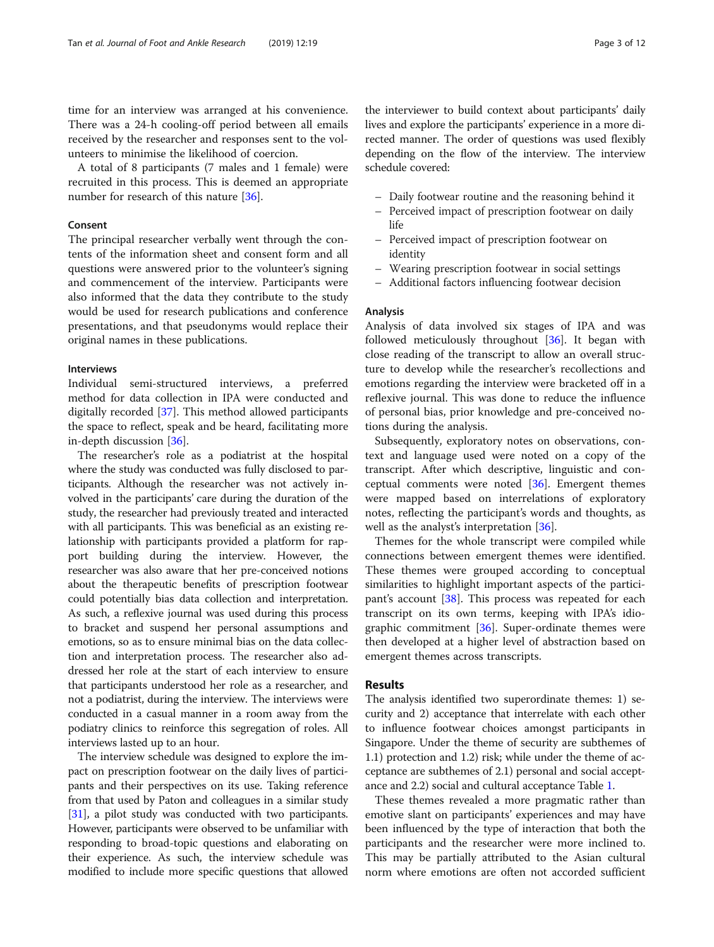time for an interview was arranged at his convenience. There was a 24-h cooling-off period between all emails received by the researcher and responses sent to the volunteers to minimise the likelihood of coercion.

A total of 8 participants (7 males and 1 female) were recruited in this process. This is deemed an appropriate number for research of this nature [\[36](#page-10-0)].

## Consent

The principal researcher verbally went through the contents of the information sheet and consent form and all questions were answered prior to the volunteer's signing and commencement of the interview. Participants were also informed that the data they contribute to the study would be used for research publications and conference presentations, and that pseudonyms would replace their original names in these publications.

#### Interviews

Individual semi-structured interviews, a preferred method for data collection in IPA were conducted and digitally recorded [\[37](#page-10-0)]. This method allowed participants the space to reflect, speak and be heard, facilitating more in-depth discussion [[36](#page-10-0)].

The researcher's role as a podiatrist at the hospital where the study was conducted was fully disclosed to participants. Although the researcher was not actively involved in the participants' care during the duration of the study, the researcher had previously treated and interacted with all participants. This was beneficial as an existing relationship with participants provided a platform for rapport building during the interview. However, the researcher was also aware that her pre-conceived notions about the therapeutic benefits of prescription footwear could potentially bias data collection and interpretation. As such, a reflexive journal was used during this process to bracket and suspend her personal assumptions and emotions, so as to ensure minimal bias on the data collection and interpretation process. The researcher also addressed her role at the start of each interview to ensure that participants understood her role as a researcher, and not a podiatrist, during the interview. The interviews were conducted in a casual manner in a room away from the podiatry clinics to reinforce this segregation of roles. All interviews lasted up to an hour.

The interview schedule was designed to explore the impact on prescription footwear on the daily lives of participants and their perspectives on its use. Taking reference from that used by Paton and colleagues in a similar study [[31](#page-10-0)], a pilot study was conducted with two participants. However, participants were observed to be unfamiliar with responding to broad-topic questions and elaborating on their experience. As such, the interview schedule was modified to include more specific questions that allowed

the interviewer to build context about participants' daily lives and explore the participants' experience in a more directed manner. The order of questions was used flexibly depending on the flow of the interview. The interview schedule covered:

- Daily footwear routine and the reasoning behind it
- Perceived impact of prescription footwear on daily life
- Perceived impact of prescription footwear on identity
- Wearing prescription footwear in social settings
- Additional factors influencing footwear decision

# Analysis

Analysis of data involved six stages of IPA and was followed meticulously throughout [[36\]](#page-10-0). It began with close reading of the transcript to allow an overall structure to develop while the researcher's recollections and emotions regarding the interview were bracketed off in a reflexive journal. This was done to reduce the influence of personal bias, prior knowledge and pre-conceived notions during the analysis.

Subsequently, exploratory notes on observations, context and language used were noted on a copy of the transcript. After which descriptive, linguistic and conceptual comments were noted  $[36]$ . Emergent themes were mapped based on interrelations of exploratory notes, reflecting the participant's words and thoughts, as well as the analyst's interpretation [[36](#page-10-0)].

Themes for the whole transcript were compiled while connections between emergent themes were identified. These themes were grouped according to conceptual similarities to highlight important aspects of the partici-pant's account [\[38](#page-10-0)]. This process was repeated for each transcript on its own terms, keeping with IPA's idiographic commitment  $[36]$ . Super-ordinate themes were then developed at a higher level of abstraction based on emergent themes across transcripts.

# Results

The analysis identified two superordinate themes: 1) security and 2) acceptance that interrelate with each other to influence footwear choices amongst participants in Singapore. Under the theme of security are subthemes of 1.1) protection and 1.2) risk; while under the theme of acceptance are subthemes of 2.1) personal and social acceptance and 2.2) social and cultural acceptance Table [1](#page-3-0).

These themes revealed a more pragmatic rather than emotive slant on participants' experiences and may have been influenced by the type of interaction that both the participants and the researcher were more inclined to. This may be partially attributed to the Asian cultural norm where emotions are often not accorded sufficient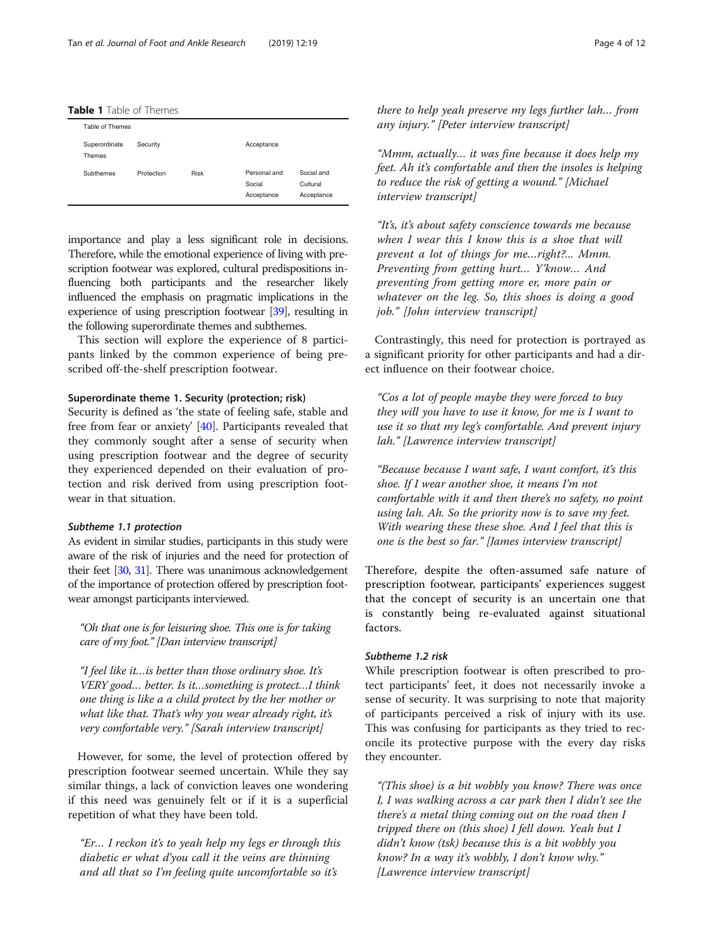<span id="page-3-0"></span>Table 1 Table of Themes

| Table of Themes         |            |      |                                      |                                      |
|-------------------------|------------|------|--------------------------------------|--------------------------------------|
| Superordinate<br>Themes | Security   |      | Acceptance                           |                                      |
| Subthemes               | Protection | Risk | Personal and<br>Social<br>Acceptance | Social and<br>Cultural<br>Acceptance |

importance and play a less significant role in decisions. Therefore, while the emotional experience of living with prescription footwear was explored, cultural predispositions influencing both participants and the researcher likely influenced the emphasis on pragmatic implications in the experience of using prescription footwear [[39](#page-11-0)], resulting in the following superordinate themes and subthemes.

This section will explore the experience of 8 participants linked by the common experience of being prescribed off-the-shelf prescription footwear.

# Superordinate theme 1. Security (protection; risk)

Security is defined as 'the state of feeling safe, stable and free from fear or anxiety' [\[40\]](#page-11-0). Participants revealed that they commonly sought after a sense of security when using prescription footwear and the degree of security they experienced depended on their evaluation of protection and risk derived from using prescription footwear in that situation.

#### Subtheme 1.1 protection

As evident in similar studies, participants in this study were aware of the risk of injuries and the need for protection of their feet [\[30](#page-10-0), [31\]](#page-10-0). There was unanimous acknowledgement of the importance of protection offered by prescription footwear amongst participants interviewed.

"Oh that one is for leisuring shoe. This one is for taking care of my foot." [Dan interview transcript]

"I feel like it…is better than those ordinary shoe. It's VERY good… better. Is it…something is protect…I think one thing is like a a child protect by the her mother or what like that. That's why you wear already right, it's very comfortable very." [Sarah interview transcript]

However, for some, the level of protection offered by prescription footwear seemed uncertain. While they say similar things, a lack of conviction leaves one wondering if this need was genuinely felt or if it is a superficial repetition of what they have been told.

"Er… I reckon it's to yeah help my legs er through this diabetic er what d'you call it the veins are thinning and all that so I'm feeling quite uncomfortable so it's

there to help yeah preserve my legs further lah… from any injury." [Peter interview transcript]

"Mmm, actually… it was fine because it does help my feet. Ah it's comfortable and then the insoles is helping to reduce the risk of getting a wound." [Michael interview transcript]

"It's, it's about safety conscience towards me because when I wear this I know this is a shoe that will prevent a lot of things for me…right?... Mmm. Preventing from getting hurt… Y'know… And preventing from getting more er, more pain or whatever on the leg. So, this shoes is doing a good job." [John interview transcript]

Contrastingly, this need for protection is portrayed as a significant priority for other participants and had a direct influence on their footwear choice.

"Cos a lot of people maybe they were forced to buy they will you have to use it know, for me is I want to use it so that my leg's comfortable. And prevent injury lah." [Lawrence interview transcript]

"Because because I want safe, I want comfort, it's this shoe. If I wear another shoe, it means I'm not comfortable with it and then there's no safety, no point using lah. Ah. So the priority now is to save my feet. With wearing these these shoe. And I feel that this is one is the best so far." [James interview transcript]

Therefore, despite the often-assumed safe nature of prescription footwear, participants' experiences suggest that the concept of security is an uncertain one that is constantly being re-evaluated against situational factors.

# Subtheme 1.2 risk

While prescription footwear is often prescribed to protect participants' feet, it does not necessarily invoke a sense of security. It was surprising to note that majority of participants perceived a risk of injury with its use. This was confusing for participants as they tried to reconcile its protective purpose with the every day risks they encounter.

"(This shoe) is a bit wobbly you know? There was once I, I was walking across a car park then I didn't see the there's a metal thing coming out on the road then I tripped there on (this shoe) I fell down. Yeah but I didn't know (tsk) because this is a bit wobbly you know? In a way it's wobbly, I don't know why." [Lawrence interview transcript]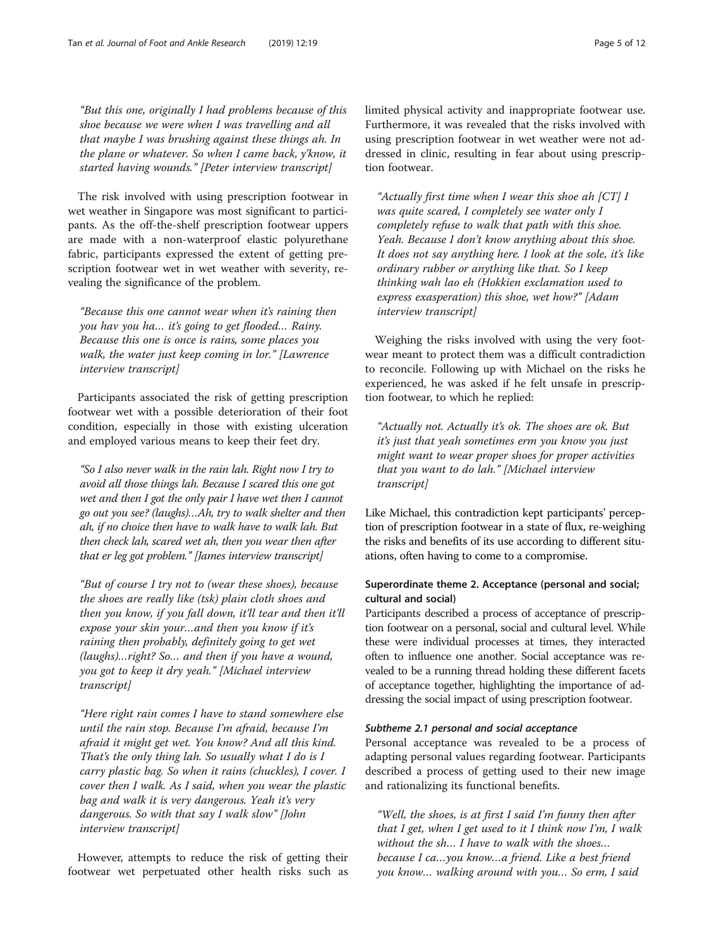"But this one, originally I had problems because of this shoe because we were when I was travelling and all that maybe I was brushing against these things ah. In the plane or whatever. So when I came back, y'know, it started having wounds." [Peter interview transcript]

The risk involved with using prescription footwear in wet weather in Singapore was most significant to participants. As the off-the-shelf prescription footwear uppers are made with a non-waterproof elastic polyurethane fabric, participants expressed the extent of getting prescription footwear wet in wet weather with severity, revealing the significance of the problem.

"Because this one cannot wear when it's raining then you hav you ha… it's going to get flooded… Rainy. Because this one is once is rains, some places you walk, the water just keep coming in lor." [Lawrence interview transcript]

Participants associated the risk of getting prescription footwear wet with a possible deterioration of their foot condition, especially in those with existing ulceration and employed various means to keep their feet dry.

"So I also never walk in the rain lah. Right now I try to avoid all those things lah. Because I scared this one got wet and then I got the only pair I have wet then I cannot go out you see? (laughs)…Ah, try to walk shelter and then ah, if no choice then have to walk have to walk lah. But then check lah, scared wet ah, then you wear then after that er leg got problem." [James interview transcript]

"But of course I try not to (wear these shoes), because the shoes are really like (tsk) plain cloth shoes and then you know, if you fall down, it'll tear and then it'll expose your skin your…and then you know if it's raining then probably, definitely going to get wet (laughs)…right? So… and then if you have a wound, you got to keep it dry yeah." [Michael interview transcript]

"Here right rain comes I have to stand somewhere else until the rain stop. Because I'm afraid, because I'm afraid it might get wet. You know? And all this kind. That's the only thing lah. So usually what I do is I carry plastic bag. So when it rains (chuckles), I cover. I cover then I walk. As I said, when you wear the plastic bag and walk it is very dangerous. Yeah it's very dangerous. So with that say I walk slow" [John interview transcript]

However, attempts to reduce the risk of getting their footwear wet perpetuated other health risks such as limited physical activity and inappropriate footwear use. Furthermore, it was revealed that the risks involved with using prescription footwear in wet weather were not addressed in clinic, resulting in fear about using prescription footwear.

"Actually first time when I wear this shoe ah  $|CT|$  I was quite scared, I completely see water only I completely refuse to walk that path with this shoe. Yeah. Because I don't know anything about this shoe. It does not say anything here. I look at the sole, it's like ordinary rubber or anything like that. So I keep thinking wah lao eh (Hokkien exclamation used to express exasperation) this shoe, wet how?" [Adam interview transcript]

Weighing the risks involved with using the very footwear meant to protect them was a difficult contradiction to reconcile. Following up with Michael on the risks he experienced, he was asked if he felt unsafe in prescription footwear, to which he replied:

"Actually not. Actually it's ok. The shoes are ok. But it's just that yeah sometimes erm you know you just might want to wear proper shoes for proper activities that you want to do lah." [Michael interview transcript]

Like Michael, this contradiction kept participants' perception of prescription footwear in a state of flux, re-weighing the risks and benefits of its use according to different situations, often having to come to a compromise.

# Superordinate theme 2. Acceptance (personal and social; cultural and social)

Participants described a process of acceptance of prescription footwear on a personal, social and cultural level. While these were individual processes at times, they interacted often to influence one another. Social acceptance was revealed to be a running thread holding these different facets of acceptance together, highlighting the importance of addressing the social impact of using prescription footwear.

# Subtheme 2.1 personal and social acceptance

Personal acceptance was revealed to be a process of adapting personal values regarding footwear. Participants described a process of getting used to their new image and rationalizing its functional benefits.

"Well, the shoes, is at first I said I'm funny then after that I get, when I get used to it I think now I'm, I walk without the sh… I have to walk with the shoes… because I ca…you know…a friend. Like a best friend you know… walking around with you… So erm, I said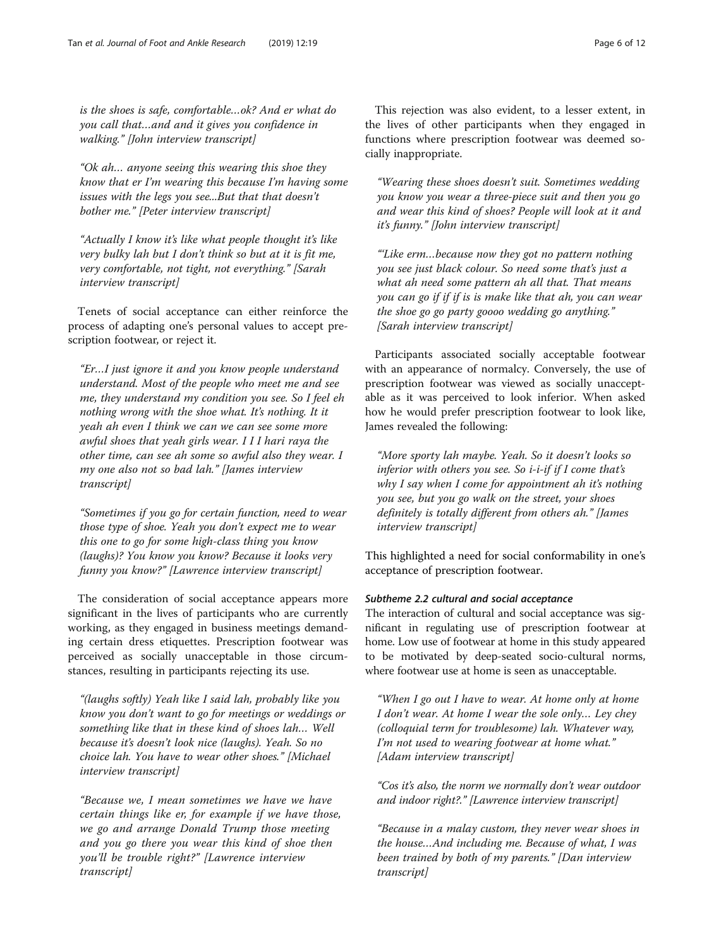is the shoes is safe, comfortable…ok? And er what do you call that…and and it gives you confidence in walking." [John interview transcript]

"Ok ah… anyone seeing this wearing this shoe they know that er I'm wearing this because I'm having some issues with the legs you see...But that that doesn't bother me." [Peter interview transcript]

"Actually I know it's like what people thought it's like very bulky lah but I don't think so but at it is fit me, very comfortable, not tight, not everything." [Sarah interview transcript]

Tenets of social acceptance can either reinforce the process of adapting one's personal values to accept prescription footwear, or reject it.

"Er…I just ignore it and you know people understand understand. Most of the people who meet me and see me, they understand my condition you see. So I feel eh nothing wrong with the shoe what. It's nothing. It it yeah ah even I think we can we can see some more awful shoes that yeah girls wear. I I I hari raya the other time, can see ah some so awful also they wear. I my one also not so bad lah." [James interview transcript]

"Sometimes if you go for certain function, need to wear those type of shoe. Yeah you don't expect me to wear this one to go for some high-class thing you know (laughs)? You know you know? Because it looks very funny you know?" [Lawrence interview transcript]

The consideration of social acceptance appears more significant in the lives of participants who are currently working, as they engaged in business meetings demanding certain dress etiquettes. Prescription footwear was perceived as socially unacceptable in those circumstances, resulting in participants rejecting its use.

"(laughs softly) Yeah like I said lah, probably like you know you don't want to go for meetings or weddings or something like that in these kind of shoes lah… Well because it's doesn't look nice (laughs). Yeah. So no choice lah. You have to wear other shoes." [Michael interview transcript]

"Because we, I mean sometimes we have we have certain things like er, for example if we have those, we go and arrange Donald Trump those meeting and you go there you wear this kind of shoe then you'll be trouble right?" [Lawrence interview transcript]

This rejection was also evident, to a lesser extent, in the lives of other participants when they engaged in functions where prescription footwear was deemed socially inappropriate.

"Wearing these shoes doesn't suit. Sometimes wedding you know you wear a three-piece suit and then you go and wear this kind of shoes? People will look at it and it's funny." [John interview transcript]

"'Like erm…because now they got no pattern nothing you see just black colour. So need some that's just a what ah need some pattern ah all that. That means you can go if if if is is make like that ah, you can wear the shoe go go party goooo wedding go anything." [Sarah interview transcript]

Participants associated socially acceptable footwear with an appearance of normalcy. Conversely, the use of prescription footwear was viewed as socially unacceptable as it was perceived to look inferior. When asked how he would prefer prescription footwear to look like, James revealed the following:

"More sporty lah maybe. Yeah. So it doesn't looks so inferior with others you see. So  $i$ - $i$ -if if I come that's why I say when I come for appointment ah it's nothing you see, but you go walk on the street, your shoes definitely is totally different from others ah." [James interview transcript]

This highlighted a need for social conformability in one's acceptance of prescription footwear.

# Subtheme 2.2 cultural and social acceptance

The interaction of cultural and social acceptance was significant in regulating use of prescription footwear at home. Low use of footwear at home in this study appeared to be motivated by deep-seated socio-cultural norms, where footwear use at home is seen as unacceptable.

"When I go out I have to wear. At home only at home I don't wear. At home I wear the sole only… Ley chey (colloquial term for troublesome) lah. Whatever way, I'm not used to wearing footwear at home what." [Adam interview transcript]

"Cos it's also, the norm we normally don't wear outdoor and indoor right?." [Lawrence interview transcript]

"Because in a malay custom, they never wear shoes in the house…And including me. Because of what, I was been trained by both of my parents." [Dan interview transcript]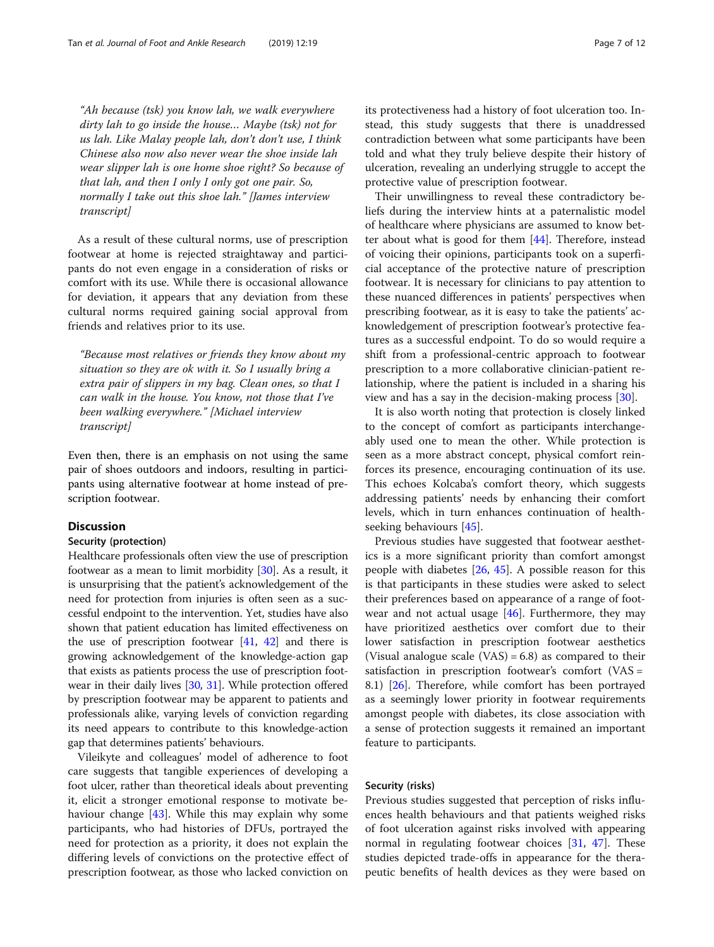"Ah because (tsk) you know lah, we walk everywhere dirty lah to go inside the house… Maybe (tsk) not for us lah. Like Malay people lah, don't don't use, I think Chinese also now also never wear the shoe inside lah wear slipper lah is one home shoe right? So because of that lah, and then I only I only got one pair. So, normally I take out this shoe lah." [James interview transcript]

As a result of these cultural norms, use of prescription footwear at home is rejected straightaway and participants do not even engage in a consideration of risks or comfort with its use. While there is occasional allowance for deviation, it appears that any deviation from these cultural norms required gaining social approval from friends and relatives prior to its use.

"Because most relatives or friends they know about my situation so they are ok with it. So I usually bring a extra pair of slippers in my bag. Clean ones, so that I can walk in the house. You know, not those that I've been walking everywhere." [Michael interview transcript]

Even then, there is an emphasis on not using the same pair of shoes outdoors and indoors, resulting in participants using alternative footwear at home instead of prescription footwear.

#### **Discussion**

#### Security (protection)

Healthcare professionals often view the use of prescription footwear as a mean to limit morbidity [[30](#page-10-0)]. As a result, it is unsurprising that the patient's acknowledgement of the need for protection from injuries is often seen as a successful endpoint to the intervention. Yet, studies have also shown that patient education has limited effectiveness on the use of prescription footwear  $[41, 42]$  $[41, 42]$  $[41, 42]$  and there is growing acknowledgement of the knowledge-action gap that exists as patients process the use of prescription footwear in their daily lives [\[30](#page-10-0), [31\]](#page-10-0). While protection offered by prescription footwear may be apparent to patients and professionals alike, varying levels of conviction regarding its need appears to contribute to this knowledge-action gap that determines patients' behaviours.

Vileikyte and colleagues' model of adherence to foot care suggests that tangible experiences of developing a foot ulcer, rather than theoretical ideals about preventing it, elicit a stronger emotional response to motivate behaviour change [\[43](#page-11-0)]. While this may explain why some participants, who had histories of DFUs, portrayed the need for protection as a priority, it does not explain the differing levels of convictions on the protective effect of prescription footwear, as those who lacked conviction on its protectiveness had a history of foot ulceration too. Instead, this study suggests that there is unaddressed contradiction between what some participants have been told and what they truly believe despite their history of ulceration, revealing an underlying struggle to accept the protective value of prescription footwear.

Their unwillingness to reveal these contradictory beliefs during the interview hints at a paternalistic model of healthcare where physicians are assumed to know better about what is good for them [\[44\]](#page-11-0). Therefore, instead of voicing their opinions, participants took on a superficial acceptance of the protective nature of prescription footwear. It is necessary for clinicians to pay attention to these nuanced differences in patients' perspectives when prescribing footwear, as it is easy to take the patients' acknowledgement of prescription footwear's protective features as a successful endpoint. To do so would require a shift from a professional-centric approach to footwear prescription to a more collaborative clinician-patient relationship, where the patient is included in a sharing his view and has a say in the decision-making process [[30\]](#page-10-0).

It is also worth noting that protection is closely linked to the concept of comfort as participants interchangeably used one to mean the other. While protection is seen as a more abstract concept, physical comfort reinforces its presence, encouraging continuation of its use. This echoes Kolcaba's comfort theory, which suggests addressing patients' needs by enhancing their comfort levels, which in turn enhances continuation of healthseeking behaviours [[45\]](#page-11-0).

Previous studies have suggested that footwear aesthetics is a more significant priority than comfort amongst people with diabetes [[26](#page-10-0), [45](#page-11-0)]. A possible reason for this is that participants in these studies were asked to select their preferences based on appearance of a range of footwear and not actual usage [[46\]](#page-11-0). Furthermore, they may have prioritized aesthetics over comfort due to their lower satisfaction in prescription footwear aesthetics (Visual analogue scale  $(VAS) = 6.8$ ) as compared to their satisfaction in prescription footwear's comfort (VAS = 8.1) [[26](#page-10-0)]. Therefore, while comfort has been portrayed as a seemingly lower priority in footwear requirements amongst people with diabetes, its close association with a sense of protection suggests it remained an important feature to participants.

## Security (risks)

Previous studies suggested that perception of risks influences health behaviours and that patients weighed risks of foot ulceration against risks involved with appearing normal in regulating footwear choices [[31,](#page-10-0) [47\]](#page-11-0). These studies depicted trade-offs in appearance for the therapeutic benefits of health devices as they were based on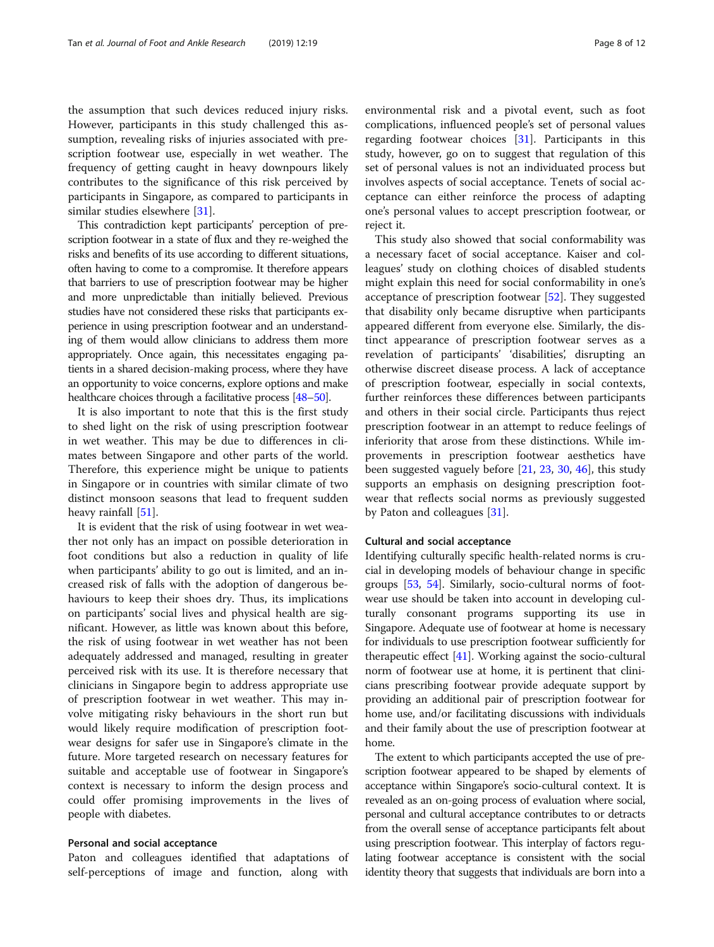the assumption that such devices reduced injury risks. However, participants in this study challenged this assumption, revealing risks of injuries associated with prescription footwear use, especially in wet weather. The frequency of getting caught in heavy downpours likely contributes to the significance of this risk perceived by participants in Singapore, as compared to participants in similar studies elsewhere [\[31](#page-10-0)].

This contradiction kept participants' perception of prescription footwear in a state of flux and they re-weighed the risks and benefits of its use according to different situations, often having to come to a compromise. It therefore appears that barriers to use of prescription footwear may be higher and more unpredictable than initially believed. Previous studies have not considered these risks that participants experience in using prescription footwear and an understanding of them would allow clinicians to address them more appropriately. Once again, this necessitates engaging patients in a shared decision-making process, where they have an opportunity to voice concerns, explore options and make healthcare choices through a facilitative process [\[48](#page-11-0)–[50](#page-11-0)].

It is also important to note that this is the first study to shed light on the risk of using prescription footwear in wet weather. This may be due to differences in climates between Singapore and other parts of the world. Therefore, this experience might be unique to patients in Singapore or in countries with similar climate of two distinct monsoon seasons that lead to frequent sudden heavy rainfall [\[51\]](#page-11-0).

It is evident that the risk of using footwear in wet weather not only has an impact on possible deterioration in foot conditions but also a reduction in quality of life when participants' ability to go out is limited, and an increased risk of falls with the adoption of dangerous behaviours to keep their shoes dry. Thus, its implications on participants' social lives and physical health are significant. However, as little was known about this before, the risk of using footwear in wet weather has not been adequately addressed and managed, resulting in greater perceived risk with its use. It is therefore necessary that clinicians in Singapore begin to address appropriate use of prescription footwear in wet weather. This may involve mitigating risky behaviours in the short run but would likely require modification of prescription footwear designs for safer use in Singapore's climate in the future. More targeted research on necessary features for suitable and acceptable use of footwear in Singapore's context is necessary to inform the design process and could offer promising improvements in the lives of people with diabetes.

## Personal and social acceptance

Paton and colleagues identified that adaptations of self-perceptions of image and function, along with environmental risk and a pivotal event, such as foot complications, influenced people's set of personal values regarding footwear choices [\[31](#page-10-0)]. Participants in this study, however, go on to suggest that regulation of this set of personal values is not an individuated process but involves aspects of social acceptance. Tenets of social acceptance can either reinforce the process of adapting one's personal values to accept prescription footwear, or reject it.

This study also showed that social conformability was a necessary facet of social acceptance. Kaiser and colleagues' study on clothing choices of disabled students might explain this need for social conformability in one's acceptance of prescription footwear [\[52](#page-11-0)]. They suggested that disability only became disruptive when participants appeared different from everyone else. Similarly, the distinct appearance of prescription footwear serves as a revelation of participants' 'disabilities', disrupting an otherwise discreet disease process. A lack of acceptance of prescription footwear, especially in social contexts, further reinforces these differences between participants and others in their social circle. Participants thus reject prescription footwear in an attempt to reduce feelings of inferiority that arose from these distinctions. While improvements in prescription footwear aesthetics have been suggested vaguely before [\[21,](#page-10-0) [23](#page-10-0), [30](#page-10-0), [46](#page-11-0)], this study supports an emphasis on designing prescription footwear that reflects social norms as previously suggested by Paton and colleagues [\[31](#page-10-0)].

## Cultural and social acceptance

Identifying culturally specific health-related norms is crucial in developing models of behaviour change in specific groups [[53](#page-11-0), [54\]](#page-11-0). Similarly, socio-cultural norms of footwear use should be taken into account in developing culturally consonant programs supporting its use in Singapore. Adequate use of footwear at home is necessary for individuals to use prescription footwear sufficiently for therapeutic effect [[41](#page-11-0)]. Working against the socio-cultural norm of footwear use at home, it is pertinent that clinicians prescribing footwear provide adequate support by providing an additional pair of prescription footwear for home use, and/or facilitating discussions with individuals and their family about the use of prescription footwear at home.

The extent to which participants accepted the use of prescription footwear appeared to be shaped by elements of acceptance within Singapore's socio-cultural context. It is revealed as an on-going process of evaluation where social, personal and cultural acceptance contributes to or detracts from the overall sense of acceptance participants felt about using prescription footwear. This interplay of factors regulating footwear acceptance is consistent with the social identity theory that suggests that individuals are born into a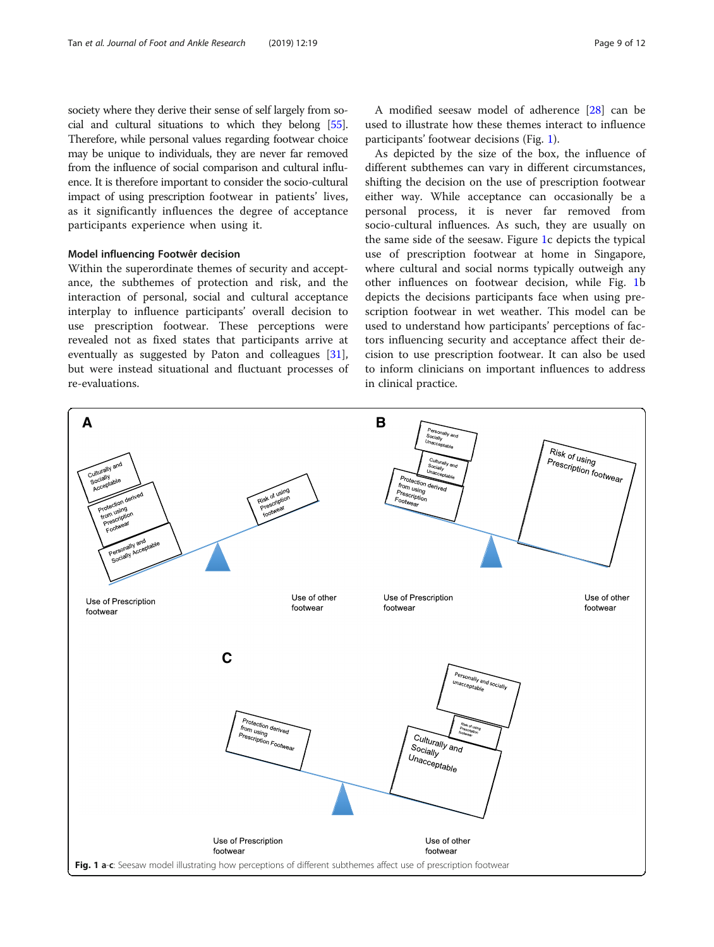<span id="page-8-0"></span>society where they derive their sense of self largely from social and cultural situations to which they belong [\[55](#page-11-0)]. Therefore, while personal values regarding footwear choice may be unique to individuals, they are never far removed from the influence of social comparison and cultural influence. It is therefore important to consider the socio-cultural impact of using prescription footwear in patients' lives, as it significantly influences the degree of acceptance participants experience when using it.

#### Model influencing Footwêr decision

Within the superordinate themes of security and acceptance, the subthemes of protection and risk, and the interaction of personal, social and cultural acceptance interplay to influence participants' overall decision to use prescription footwear. These perceptions were revealed not as fixed states that participants arrive at eventually as suggested by Paton and colleagues [\[31](#page-10-0)], but were instead situational and fluctuant processes of re-evaluations.

A modified seesaw model of adherence [[28\]](#page-10-0) can be used to illustrate how these themes interact to influence participants' footwear decisions (Fig. 1).

As depicted by the size of the box, the influence of different subthemes can vary in different circumstances, shifting the decision on the use of prescription footwear either way. While acceptance can occasionally be a personal process, it is never far removed from socio-cultural influences. As such, they are usually on the same side of the seesaw. Figure 1c depicts the typical use of prescription footwear at home in Singapore, where cultural and social norms typically outweigh any other influences on footwear decision, while Fig. 1b depicts the decisions participants face when using prescription footwear in wet weather. This model can be used to understand how participants' perceptions of factors influencing security and acceptance affect their decision to use prescription footwear. It can also be used to inform clinicians on important influences to address in clinical practice.

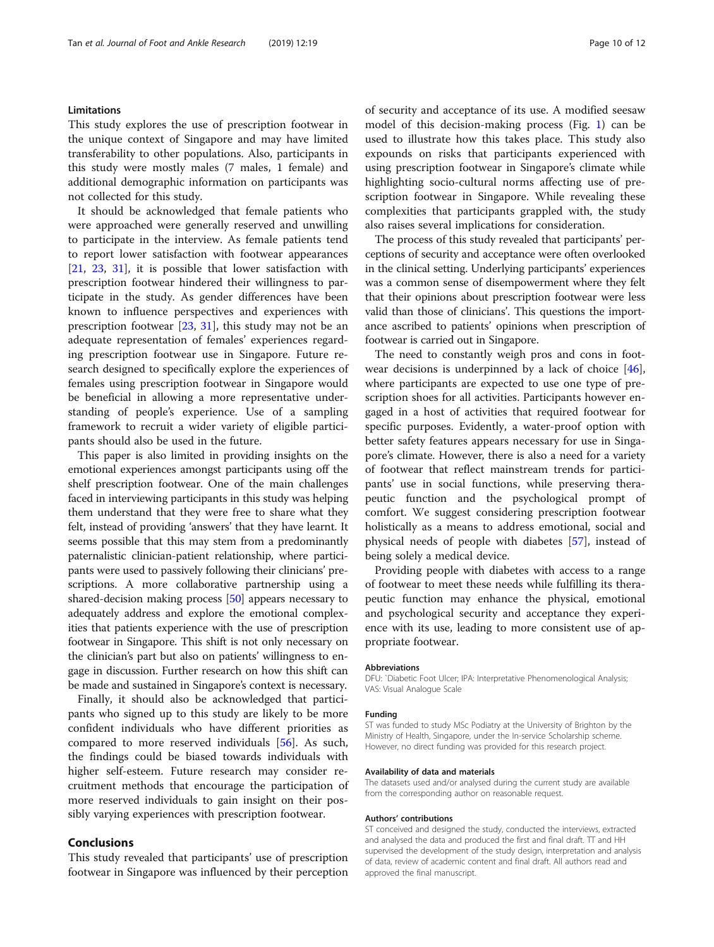## Limitations

This study explores the use of prescription footwear in the unique context of Singapore and may have limited transferability to other populations. Also, participants in this study were mostly males (7 males, 1 female) and additional demographic information on participants was not collected for this study.

It should be acknowledged that female patients who were approached were generally reserved and unwilling to participate in the interview. As female patients tend to report lower satisfaction with footwear appearances [[21,](#page-10-0) [23,](#page-10-0) [31\]](#page-10-0), it is possible that lower satisfaction with prescription footwear hindered their willingness to participate in the study. As gender differences have been known to influence perspectives and experiences with prescription footwear [[23,](#page-10-0) [31](#page-10-0)], this study may not be an adequate representation of females' experiences regarding prescription footwear use in Singapore. Future research designed to specifically explore the experiences of females using prescription footwear in Singapore would be beneficial in allowing a more representative understanding of people's experience. Use of a sampling framework to recruit a wider variety of eligible participants should also be used in the future.

This paper is also limited in providing insights on the emotional experiences amongst participants using off the shelf prescription footwear. One of the main challenges faced in interviewing participants in this study was helping them understand that they were free to share what they felt, instead of providing 'answers' that they have learnt. It seems possible that this may stem from a predominantly paternalistic clinician-patient relationship, where participants were used to passively following their clinicians' prescriptions. A more collaborative partnership using a shared-decision making process [\[50](#page-11-0)] appears necessary to adequately address and explore the emotional complexities that patients experience with the use of prescription footwear in Singapore. This shift is not only necessary on the clinician's part but also on patients' willingness to engage in discussion. Further research on how this shift can be made and sustained in Singapore's context is necessary.

Finally, it should also be acknowledged that participants who signed up to this study are likely to be more confident individuals who have different priorities as compared to more reserved individuals [[56](#page-11-0)]. As such, the findings could be biased towards individuals with higher self-esteem. Future research may consider recruitment methods that encourage the participation of more reserved individuals to gain insight on their possibly varying experiences with prescription footwear.

# Conclusions

This study revealed that participants' use of prescription footwear in Singapore was influenced by their perception of security and acceptance of its use. A modified seesaw model of this decision-making process (Fig. [1](#page-8-0)) can be used to illustrate how this takes place. This study also expounds on risks that participants experienced with using prescription footwear in Singapore's climate while highlighting socio-cultural norms affecting use of prescription footwear in Singapore. While revealing these complexities that participants grappled with, the study also raises several implications for consideration.

The process of this study revealed that participants' perceptions of security and acceptance were often overlooked in the clinical setting. Underlying participants' experiences was a common sense of disempowerment where they felt that their opinions about prescription footwear were less valid than those of clinicians'. This questions the importance ascribed to patients' opinions when prescription of footwear is carried out in Singapore.

The need to constantly weigh pros and cons in footwear decisions is underpinned by a lack of choice [\[46](#page-11-0)], where participants are expected to use one type of prescription shoes for all activities. Participants however engaged in a host of activities that required footwear for specific purposes. Evidently, a water-proof option with better safety features appears necessary for use in Singapore's climate. However, there is also a need for a variety of footwear that reflect mainstream trends for participants' use in social functions, while preserving therapeutic function and the psychological prompt of comfort. We suggest considering prescription footwear holistically as a means to address emotional, social and physical needs of people with diabetes [\[57](#page-11-0)], instead of being solely a medical device.

Providing people with diabetes with access to a range of footwear to meet these needs while fulfilling its therapeutic function may enhance the physical, emotional and psychological security and acceptance they experience with its use, leading to more consistent use of appropriate footwear.

#### Abbreviations

DFU: `Diabetic Foot Ulcer; IPA: Interpretative Phenomenological Analysis; VAS: Visual Analogue Scale

#### Funding

ST was funded to study MSc Podiatry at the University of Brighton by the Ministry of Health, Singapore, under the In-service Scholarship scheme. However, no direct funding was provided for this research project.

#### Availability of data and materials

The datasets used and/or analysed during the current study are available from the corresponding author on reasonable request.

#### Authors' contributions

ST conceived and designed the study, conducted the interviews, extracted and analysed the data and produced the first and final draft. TT and HH supervised the development of the study design, interpretation and analysis of data, review of academic content and final draft. All authors read and approved the final manuscript.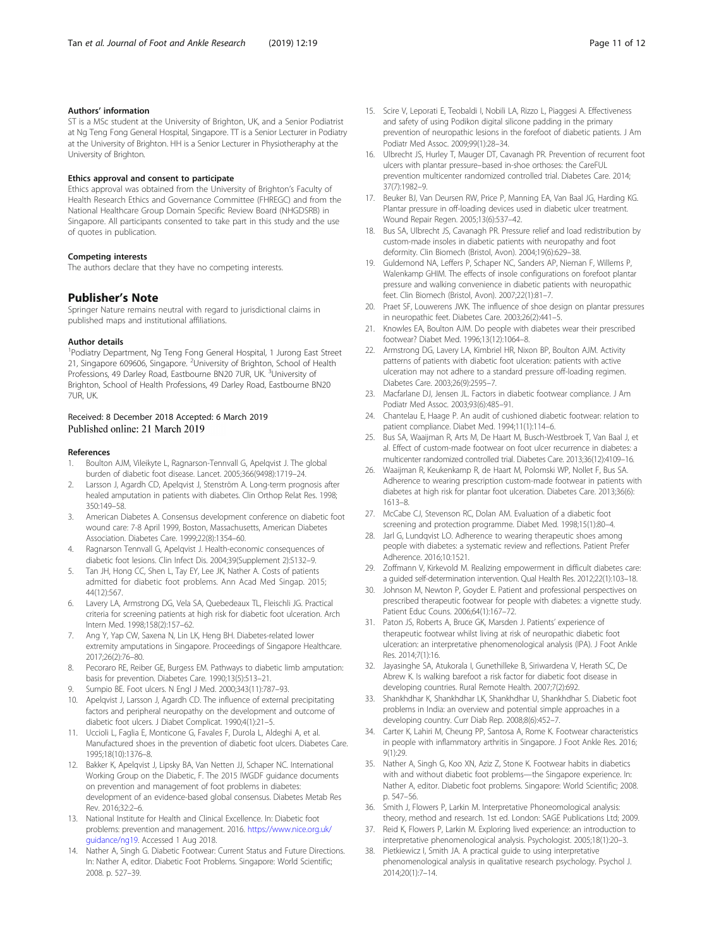## <span id="page-10-0"></span>Authors' information

ST is a MSc student at the University of Brighton, UK, and a Senior Podiatrist at Ng Teng Fong General Hospital, Singapore. TT is a Senior Lecturer in Podiatry at the University of Brighton. HH is a Senior Lecturer in Physiotheraphy at the University of Brighton.

#### Ethics approval and consent to participate

Ethics approval was obtained from the University of Brighton's Faculty of Health Research Ethics and Governance Committee (FHREGC) and from the National Healthcare Group Domain Specific Review Board (NHGDSRB) in Singapore. All participants consented to take part in this study and the use of quotes in publication.

#### Competing interests

The authors declare that they have no competing interests.

#### Publisher's Note

Springer Nature remains neutral with regard to jurisdictional claims in published maps and institutional affiliations.

#### Author details

<sup>1</sup>Podiatry Department, Ng Teng Fong General Hospital, 1 Jurong East Street 21, Singapore 609606, Singapore. <sup>2</sup>University of Brighton, School of Health Professions, 49 Darley Road, Eastbourne BN20 7UR, UK. <sup>3</sup>University of Brighton, School of Health Professions, 49 Darley Road, Eastbourne BN20 7UR, UK.

## Received: 8 December 2018 Accepted: 6 March 2019 Published online: 21 March 2019

#### References

- 1. Boulton AJM, Vileikyte L, Ragnarson-Tennvall G, Apelqvist J. The global burden of diabetic foot disease. Lancet. 2005;366(9498):1719–24.
- Larsson J, Agardh CD, Apelqvist J, Stenström A. Long-term prognosis after healed amputation in patients with diabetes. Clin Orthop Relat Res. 1998; 350:149–58.
- 3. American Diabetes A. Consensus development conference on diabetic foot wound care: 7-8 April 1999, Boston, Massachusetts, American Diabetes Association. Diabetes Care. 1999;22(8):1354–60.
- 4. Ragnarson Tennvall G, Apelqvist J. Health-economic consequences of diabetic foot lesions. Clin Infect Dis. 2004;39(Supplement 2):S132–9.
- 5. Tan JH, Hong CC, Shen L, Tay EY, Lee JK, Nather A. Costs of patients admitted for diabetic foot problems. Ann Acad Med Singap. 2015; 44(12):567.
- 6. Lavery LA, Armstrong DG, Vela SA, Quebedeaux TL, Fleischli JG. Practical criteria for screening patients at high risk for diabetic foot ulceration. Arch Intern Med. 1998;158(2):157–62.
- 7. Ang Y, Yap CW, Saxena N, Lin LK, Heng BH. Diabetes-related lower extremity amputations in Singapore. Proceedings of Singapore Healthcare. 2017;26(2):76–80.
- 8. Pecoraro RE, Reiber GE, Burgess EM. Pathways to diabetic limb amputation: basis for prevention. Diabetes Care. 1990;13(5):513–21.
- 9. Sumpio BE. Foot ulcers. N Engl J Med. 2000;343(11):787–93.
- 10. Apelqvist J, Larsson J, Agardh CD. The influence of external precipitating factors and peripheral neuropathy on the development and outcome of diabetic foot ulcers. J Diabet Complicat. 1990;4(1):21–5.
- 11. Uccioli L, Faglia E, Monticone G, Favales F, Durola L, Aldeghi A, et al. Manufactured shoes in the prevention of diabetic foot ulcers. Diabetes Care. 1995;18(10):1376–8.
- 12. Bakker K, Apelqvist J, Lipsky BA, Van Netten JJ, Schaper NC. International Working Group on the Diabetic, F. The 2015 IWGDF guidance documents on prevention and management of foot problems in diabetes: development of an evidence-based global consensus. Diabetes Metab Res Rev. 2016;32:2–6.
- 13. National Institute for Health and Clinical Excellence. In: Diabetic foot problems: prevention and management. 2016. [https://www.nice.org.uk/](https://www.nice.org.uk/guidance/ng19) [guidance/ng19](https://www.nice.org.uk/guidance/ng19). Accessed 1 Aug 2018.
- 14. Nather A, Singh G. Diabetic Footwear: Current Status and Future Directions. In: Nather A, editor. Diabetic Foot Problems. Singapore: World Scientific; 2008. p. 527–39.
- 15. Scire V, Leporati E, Teobaldi I, Nobili LA, Rizzo L, Piaggesi A. Effectiveness and safety of using Podikon digital silicone padding in the primary prevention of neuropathic lesions in the forefoot of diabetic patients. J Am Podiatr Med Assoc. 2009;99(1):28–34.
- 16. Ulbrecht JS, Hurley T, Mauger DT, Cavanagh PR. Prevention of recurrent foot ulcers with plantar pressure–based in-shoe orthoses: the CareFUL prevention multicenter randomized controlled trial. Diabetes Care. 2014; 37(7):1982–9.
- 17. Beuker BJ, Van Deursen RW, Price P, Manning EA, Van Baal JG, Harding KG. Plantar pressure in off-loading devices used in diabetic ulcer treatment. Wound Repair Regen. 2005;13(6):537–42.
- 18. Bus SA, Ulbrecht JS, Cavanagh PR. Pressure relief and load redistribution by custom-made insoles in diabetic patients with neuropathy and foot deformity. Clin Biomech (Bristol, Avon). 2004;19(6):629–38.
- 19. Guldemond NA, Leffers P, Schaper NC, Sanders AP, Nieman F, Willems P, Walenkamp GHIM. The effects of insole configurations on forefoot plantar pressure and walking convenience in diabetic patients with neuropathic feet. Clin Biomech (Bristol, Avon). 2007;22(1):81–7.
- 20. Praet SF, Louwerens JWK. The influence of shoe design on plantar pressures in neuropathic feet. Diabetes Care. 2003;26(2):441–5.
- 21. Knowles EA, Boulton AJM. Do people with diabetes wear their prescribed footwear? Diabet Med. 1996;13(12):1064–8.
- 22. Armstrong DG, Lavery LA, Kimbriel HR, Nixon BP, Boulton AJM. Activity patterns of patients with diabetic foot ulceration: patients with active ulceration may not adhere to a standard pressure off-loading regimen. Diabetes Care. 2003;26(9):2595–7.
- 23. Macfarlane DJ, Jensen JL. Factors in diabetic footwear compliance. J Am Podiatr Med Assoc. 2003;93(6):485–91.
- 24. Chantelau E, Haage P. An audit of cushioned diabetic footwear: relation to patient compliance. Diabet Med. 1994;11(1):114–6.
- 25. Bus SA, Waaijman R, Arts M, De Haart M, Busch-Westbroek T, Van Baal J, et al. Effect of custom-made footwear on foot ulcer recurrence in diabetes: a multicenter randomized controlled trial. Diabetes Care. 2013;36(12):4109–16.
- 26. Waaijman R, Keukenkamp R, de Haart M, Polomski WP, Nollet F, Bus SA. Adherence to wearing prescription custom-made footwear in patients with diabetes at high risk for plantar foot ulceration. Diabetes Care. 2013;36(6): 1613–8.
- 27. McCabe CJ, Stevenson RC, Dolan AM. Evaluation of a diabetic foot screening and protection programme. Diabet Med. 1998;15(1):80–4.
- 28. Jarl G, Lundqvist LO. Adherence to wearing therapeutic shoes among people with diabetes: a systematic review and reflections. Patient Prefer Adherence. 2016;10:1521.
- 29. Zoffmann V, Kirkevold M. Realizing empowerment in difficult diabetes care: a guided self-determination intervention. Qual Health Res. 2012;22(1):103–18.
- 30. Johnson M, Newton P, Goyder E. Patient and professional perspectives on prescribed therapeutic footwear for people with diabetes: a vignette study. Patient Educ Couns. 2006;64(1):167–72.
- 31. Paton JS, Roberts A, Bruce GK, Marsden J. Patients' experience of therapeutic footwear whilst living at risk of neuropathic diabetic foot ulceration: an interpretative phenomenological analysis (IPA). J Foot Ankle Res. 2014;7(1):16.
- 32. Jayasinghe SA, Atukorala I, Gunethilleke B, Siriwardena V, Herath SC, De Abrew K. Is walking barefoot a risk factor for diabetic foot disease in developing countries. Rural Remote Health. 2007;7(2):692.
- 33. Shankhdhar K, Shankhdhar LK, Shankhdhar U, Shankhdhar S. Diabetic foot problems in India: an overview and potential simple approaches in a developing country. Curr Diab Rep. 2008;8(6):452–7.
- 34. Carter K, Lahiri M, Cheung PP, Santosa A, Rome K. Footwear characteristics in people with inflammatory arthritis in Singapore. J Foot Ankle Res. 2016; 9(1):29.
- 35. Nather A, Singh G, Koo XN, Aziz Z, Stone K. Footwear habits in diabetics with and without diabetic foot problems—the Singapore experience. In: Nather A, editor. Diabetic foot problems. Singapore: World Scientific; 2008. p. 547–56.
- 36. Smith J, Flowers P, Larkin M. Interpretative Phoneomological analysis: theory, method and research. 1st ed. London: SAGE Publications Ltd; 2009.
- 37. Reid K, Flowers P, Larkin M. Exploring lived experience: an introduction to interpretative phenomenological analysis. Psychologist. 2005;18(1):20–3.
- 38. Pietkiewicz I, Smith JA. A practical guide to using interpretative phenomenological analysis in qualitative research psychology. Psychol J. 2014;20(1):7–14.